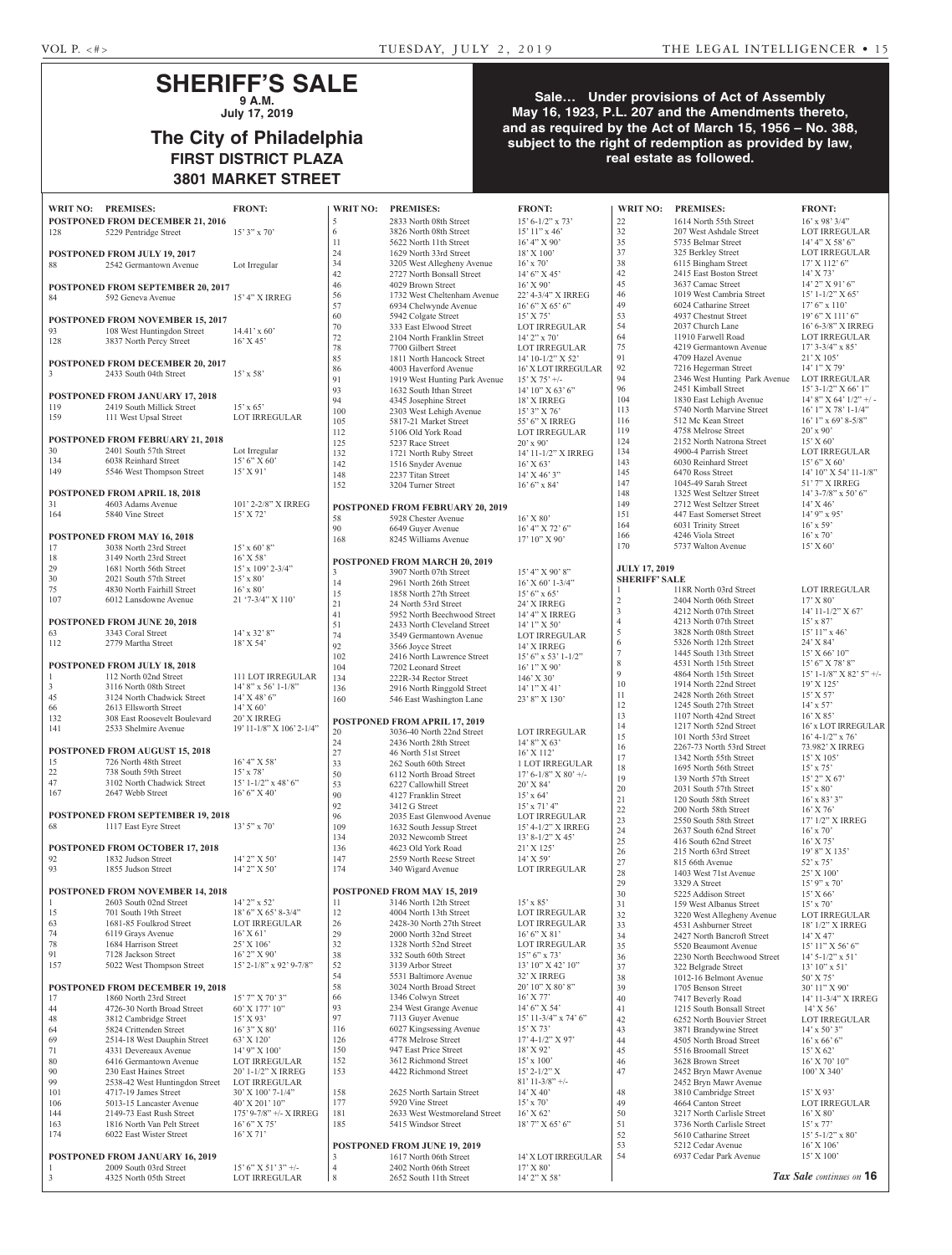## **SHERIFF'S SALE 9 A.M.**

**July 17, 2019**

# **The City of Philadelphia FIRST DISTRICT PLAZA 3801 MARKET STREET**

### **Sale… Under provisions of Act of Assembly May 16, 1923, P.L. 207 and the Amendments thereto, and as required by the Act of March 15, 1956 – No. 388, subject to the right of redemption as provided by law, real estate as followed.**

|                                                   | WRIT NO: PREMISES:                                           | <b>FRONT:</b>                                 | <b>WRIT NO:</b>     | <b>PREMISES:</b>                                         | <b>FRONT:</b>                            | <b>WRIT NO:</b>      | <b>PREMISES:</b>                                         | <b>FRONT:</b>                            |
|---------------------------------------------------|--------------------------------------------------------------|-----------------------------------------------|---------------------|----------------------------------------------------------|------------------------------------------|----------------------|----------------------------------------------------------|------------------------------------------|
|                                                   | POSTPONED FROM DECEMBER 21, 2016                             |                                               | 5                   | 2833 North 08th Street                                   | $15' 6 - 1/2'' $ x 73'                   | $22\,$               | 1614 North 55th Street                                   | $16'$ x 98' 3/4"                         |
| 128                                               | 5229 Pentridge Street                                        | $15'3''$ x 70'                                | 6                   | 3826 North 08th Street                                   | $15'11''$ x 46'                          | $32\,$               | 207 West Ashdale Street                                  | <b>LOT IRREGULAR</b>                     |
|                                                   |                                                              |                                               | 11                  | 5622 North 11th Street                                   | 16' 4'' X 90'                            | 35                   | 5735 Belmar Street                                       | 14' 4'' X 58' 6''                        |
|                                                   | <b>POSTPONED FROM JULY 19, 2017</b>                          |                                               | 24                  | 1629 North 33rd Street                                   | $18'$ X $100'$                           | 37                   | 325 Berkley Street                                       | LOT IRREGULAR                            |
| 88                                                | 2542 Germantown Avenue                                       | Lot Irregular                                 | 34                  | 3205 West Allegheny Avenue                               | $16'$ x 70'                              | 38                   | 6115 Bingham Street                                      | $17'$ X $112'$ 6"                        |
|                                                   |                                                              |                                               | 42                  | 2727 North Bonsall Street                                | $14'6''$ X 45'                           | $42\,$<br>$45\,$     | 2415 East Boston Street<br>3637 Camac Street             | $14'$ X 73'<br>$14'$ 2" X 91' 6"         |
|                                                   | <b>POSTPONED FROM SEPTEMBER 20, 2017</b>                     |                                               | 46<br>56            | 4029 Brown Street<br>1732 West Cheltenham Avenue         | $16'$ X 90'<br>22' 4-3/4" X IRREG        | 46                   | 1019 West Cambria Street                                 | $15'$ 1-1/2" X 65'                       |
| 84                                                | 592 Geneva Avenue                                            | 15' 4" X IRREG                                | 57                  | 6934 Chelwynde Avenue                                    | 16' 6'' X 65' 6''                        | 49                   | 6024 Catharine Street                                    | $17'6''$ x $110'$                        |
|                                                   | POSTPONED FROM NOVEMBER 15, 2017                             |                                               | 60                  | 5942 Colgate Street                                      | $15'$ X 75'                              | 53                   | 4937 Chestnut Street                                     | $19'$ 6" X $111'$ 6"                     |
| 93                                                | 108 West Huntingdon Street                                   | $14.41' \times 60'$                           | $70\,$              | 333 East Elwood Street                                   | <b>LOT IRREGULAR</b>                     | 54                   | 2037 Church Lane                                         | 16' 6-3/8" X IRREG                       |
| 128                                               | 3837 North Percy Street                                      | $16'$ X 45'                                   | 72                  | 2104 North Franklin Street                               | $14'$ 2" x 70"                           | 64                   | 11910 Farwell Road                                       | LOT IRREGULAR                            |
|                                                   |                                                              |                                               | $78\,$              | 7700 Gilbert Street                                      | <b>LOT IRREGULAR</b>                     | 75                   | 4219 Germantown Avenue                                   | $17'$ 3-3/4" x 85"                       |
|                                                   | POSTPONED FROM DECEMBER 20, 2017                             |                                               | 85                  | 1811 North Hancock Street                                | 14' 10-1/2" X 52'                        | 91                   | 4709 Hazel Avenue                                        | $21'$ X $105'$                           |
| $\overline{3}$                                    | 2433 South 04th Street                                       | $15'$ x 58'                                   | 86<br>91            | 4003 Haverford Avenue                                    | <b>16' X LOT IRREGULAR</b>               | 92<br>94             | 7216 Hegerman Street<br>2346 West Hunting Park Avenue    | 14' 1" X 79'<br><b>LOT IRREGULAR</b>     |
|                                                   |                                                              |                                               | 93                  | 1919 West Hunting Park Avenue<br>1632 South Ithan Street | $15'$ X 75' +/-<br>$14'$ 10" X 63' 6"    | 96                   | 2451 Kimball Street                                      | $15'$ 3-1/2" X 66' 1"                    |
|                                                   | POSTPONED FROM JANUARY 17, 2018                              |                                               | 94                  | 4345 Josephine Street                                    | 18' X IRREG                              | 104                  | 1830 East Lehigh Avenue                                  | $14'$ 8" X 64' $1/2"$ +/ -               |
| 119                                               | 2419 South Millick Street                                    | $15'$ x 65'                                   | 100                 | 2303 West Lehigh Avenue                                  | $15'3''$ X 76'                           | 113                  | 5740 North Marvine Street                                | $16'$ 1" X 78' 1-1/4"                    |
| 159                                               | 111 West Upsal Street                                        | <b>LOT IRREGULAR</b>                          | 105                 | 5817-21 Market Street                                    | 55' 6" X IRREG                           | 116                  | 512 Mc Kean Street                                       | $16'$ 1" x 69' 8-5/8"                    |
|                                                   |                                                              |                                               | 112                 | 5106 Old York Road                                       | <b>LOT IRREGULAR</b>                     | 119                  | 4758 Melrose Street                                      | $20'$ x $90'$                            |
| 30                                                | POSTPONED FROM FEBRUARY 21, 2018<br>2401 South 57th Street   | Lot Irregular                                 | 125                 | 5237 Race Street                                         | $20'$ x 90'                              | 124                  | 2152 North Natrona Street                                | 15' X 60'                                |
| 134                                               | 6038 Reinhard Street                                         | 15' 6'' X 60'                                 | 132                 | 1721 North Ruby Street                                   | 14' 11-1/2" X IRREG                      | 134<br>143           | 4900-4 Parrish Street<br>6030 Reinhard Street            | <b>LOT IRREGULAR</b><br>15' 6'' X 60'    |
| 149                                               | 5546 West Thompson Street                                    | $15'$ X 91'                                   | 142<br>148          | 1516 Snyder Avenue<br>2237 Titan Street                  | $16'$ X 63'<br>$14'$ X 46' 3"            | 145                  | 6470 Ross Street                                         | 14' 10" X 54' 11-1/8"                    |
|                                                   |                                                              |                                               | 152                 | 3204 Turner Street                                       | $16'6''$ x 84'                           | 147                  | 1045-49 Sarah Street                                     | 51' 7" X IRREG                           |
|                                                   | POSTPONED FROM APRIL 18, 2018                                |                                               |                     |                                                          |                                          | 148                  | 1325 West Seltzer Street                                 | $14'$ 3-7/8" x 50' 6"                    |
| 31                                                | 4603 Adams Avenue                                            | 101' 2-2/8" X IRREG                           |                     | POSTPONED FROM FEBRUARY 20, 2019                         |                                          | 149                  | 2712 West Seltzer Street                                 | $14'$ X 46'                              |
| 164                                               | 5840 Vine Street                                             | $15'$ X 72'                                   | 58                  | 5928 Chester Avenue                                      | $16'$ X $80'$                            | 151                  | 447 East Somerset Street                                 | $14'$ 9" x 95'                           |
|                                                   |                                                              |                                               | 90                  | 6649 Guyer Avenue                                        | 16' 4" X 72' 6"                          | 164                  | 6031 Trinity Street                                      | $16'$ x 59'                              |
|                                                   | POSTPONED FROM MAY 16, 2018                                  |                                               | 168                 | 8245 Williams Avenue                                     | 17' 10'' X 90'                           | 166<br>170           | 4246 Viola Street                                        | $16'$ x 70'                              |
| 17                                                | 3038 North 23rd Street                                       | $15'$ x 60' 8"                                |                     |                                                          |                                          |                      | 5737 Walton Avenue                                       | $15'$ X 60'                              |
| 18<br>29                                          | 3149 North 23rd Street<br>1681 North 56th Street             | $16'$ X 58'<br>$15'$ x $109'$ 2-3/4"          |                     | POSTPONED FROM MARCH 20, 2019                            |                                          | <b>JULY 17, 2019</b> |                                                          |                                          |
| 30                                                | 2021 South 57th Street                                       | $15' \times 80'$                              | $\overline{3}$      | 3907 North 07th Street                                   | 15' 4" X 90' 8"                          | <b>SHERIFF' SALE</b> |                                                          |                                          |
| 75                                                | 4830 North Fairhill Street                                   | $16'$ x 80'                                   | 14<br>15            | 2961 North 26th Street                                   | $16'$ X 60' 1-3/4"<br>$15'6''$ x 65'     |                      | 118R North 03rd Street                                   | <b>LOT IRREGULAR</b>                     |
| 107                                               | 6012 Lansdowne Avenue                                        | $21'$ '7-3/4" X 110"                          | 21                  | 1858 North 27th Street<br>24 North 53rd Street           | 24' X IRREG                              | $\overline{2}$       | 2404 North 06th Street                                   | 17' X 80'                                |
|                                                   |                                                              |                                               | 41                  | 5952 North Beechwood Street                              | 14' 4" X IRREG                           | 3                    | 4212 North 07th Street                                   | $14'$ 11-1/2" X 67'                      |
|                                                   | POSTPONED FROM JUNE 20, 2018                                 |                                               | 51                  | 2433 North Cleveland Street                              | $14'1''$ X 50'                           | $\overline{4}$       | 4213 North 07th Street                                   | $15'$ x 87'                              |
| 63                                                | 3343 Coral Street                                            | $14'$ x 32' 8"                                | 74                  | 3549 Germantown Avenue                                   | <b>LOT IRREGULAR</b>                     | 5                    | 3828 North 08th Street                                   | $15' 11''$ x 46'                         |
| 112                                               | 2779 Martha Street                                           | $18'$ X 54'                                   | 92                  | 3566 Joyce Street                                        | 14' X IRREG                              | 6<br>$\overline{7}$  | 5326 North 12th Street<br>1445 South 13th Street         | 24' X 84'                                |
|                                                   |                                                              |                                               | 102                 | 2416 North Lawrence Street                               | 15' 6" x 53' 1-1/2"                      | 8                    | 4531 North 15th Street                                   | $15'$ X 66' 10"<br>$15'$ 6" X 78' 8"     |
| 1                                                 | <b>POSTPONED FROM JULY 18, 2018</b><br>112 North 02nd Street | <b>111 LOT IRREGULAR</b>                      | 104                 | 7202 Leonard Street                                      | $16'1''$ X 90'                           | $\mathbf Q$          | 4864 North 15th Street                                   | $15'$ 1-1/8" X 82' 5" +/-                |
| $\mathfrak{Z}$                                    | 3116 North 08th Street                                       | $14'8''$ x 56' 1-1/8"                         | 134<br>136          | 222R-34 Rector Street<br>2916 North Ringgold Street      | $146'$ X 30'<br>$14'1''$ X 41'           | 10                   | 1914 North 22nd Street                                   | 19' X 125'                               |
| 45                                                | 3124 North Chadwick Street                                   | $14'$ X 48' 6"                                | 160                 | 546 East Washington Lane                                 | 23' 8" X 130'                            | 11                   | 2428 North 26th Street                                   | 15' X 57'                                |
| 66                                                | 2613 Ellsworth Street                                        | $14'$ X 60'                                   |                     |                                                          |                                          | 12                   | 1245 South 27th Street                                   | $14'$ x 57'                              |
| 132                                               | 308 East Roosevelt Boulevard                                 | 20' X IRREG                                   |                     | <b>POSTPONED FROM APRIL 17, 2019</b>                     |                                          | 13                   | 1107 North 42nd Street                                   | 16' X 85'                                |
| 141                                               | 2533 Shelmire Avenue                                         | 19' 11-1/8" X 106' 2-1/4"                     | 20                  | 3036-40 North 22nd Street                                | <b>LOT IRREGULAR</b>                     | 14                   | 1217 North 52nd Street                                   | 16' x LOT IRREGULAR                      |
|                                                   |                                                              |                                               | 24                  | 2436 North 28th Street                                   | $14'8''$ X 63'                           | 15<br>16             | 101 North 53rd Street<br>2267-73 North 53rd Street       | $16' 4 - 1/2''$ x 76'<br>73.982' X IRREG |
|                                                   | <b>POSTPONED FROM AUGUST 15, 2018</b>                        |                                               | 27                  | 46 North 51st Street                                     | 16' X 112'                               | 17                   | 1342 North 55th Street                                   | $15'$ X $105'$                           |
| 15<br>22                                          | 726 North 48th Street<br>738 South 59th Street               | 16' 4'' X 58'<br>$15'$ x 78'                  | 33                  | 262 South 60th Street                                    | 1 LOT IRREGULAR                          | $18\,$               | 1695 North 56th Street                                   | $15'$ x 75'                              |
| 47                                                | 3102 North Chadwick Street                                   | $15'$ 1-1/2" x 48' 6"                         | 50<br>53            | 6112 North Broad Street<br>6227 Callowhill Street        | $17^\circ$ 6-1/8" X 80' +/-<br>20' X 84' | 19                   | 139 North 57th Street                                    | 15' 2" X 67'                             |
| 167                                               | 2647 Webb Street                                             | 16' 6''  X 40'                                | 90                  | 4127 Franklin Street                                     | $15'$ x 64'                              | 20                   | 2031 South 57th Street                                   | $15' \times 80'$                         |
|                                                   |                                                              |                                               | 92                  | 3412 G Street                                            | $15'$ x $71'$ 4"                         | 21                   | 120 South 58th Street                                    | $16'$ x 83' 3"                           |
|                                                   | <b>POSTPONED FROM SEPTEMBER 19, 2018</b>                     |                                               | 96                  | 2035 East Glenwood Avenue                                | LOT IRREGULAR                            | $22\,$<br>23         | 200 North 58th Street                                    | 16' X 76'<br>17' 1/2" X IRREG            |
| 68                                                | 1117 East Eyre Street                                        | $13'5''$ x 70'                                | 109                 | 1632 South Jessup Street                                 | 15' 4-1/2" X IRREG                       | 24                   | 2550 South 58th Street<br>2637 South 62nd Street         | $16'$ x 70'                              |
|                                                   |                                                              |                                               | 134                 | 2032 Newcomb Street                                      | $13' 8-1/2'' X 45'$                      | $25\,$               | 416 South 62nd Street                                    | 16' X 75'                                |
|                                                   | POSTPONED FROM OCTOBER 17, 2018                              |                                               | 136                 | 4623 Old York Road                                       | 21' X 125'                               | $26\,$               | 215 North 63rd Street                                    | 19' 8" X 135'                            |
| 92                                                | 1832 Judson Street                                           | $14'$ 2" X 50'                                | 147                 | 2559 North Reese Street                                  | 14' X 59'                                | 27                   | 815 66th Avenue                                          | 52' x 75'                                |
| 93                                                | 1855 Judson Street                                           | $14'$ 2" X 50'                                | 174                 | 340 Wigard Avenue                                        | <b>LOT IRREGULAR</b>                     | $28\,$               | 1403 West 71st Avenue                                    | 25' X 100'                               |
|                                                   |                                                              |                                               |                     |                                                          |                                          | 29                   | 3329 A Street                                            | $15'$ 9" x 70"                           |
| 1                                                 | POSTPONED FROM NOVEMBER 14, 2018<br>2603 South 02nd Street   | $14'$ 2" x 52'                                | 11                  | POSTPONED FROM MAY 15, 2019<br>3146 North 12th Street    | $15' \times 85'$                         | 30                   | 5225 Addison Street                                      | 15' X 66'                                |
| 15                                                | 701 South 19th Street                                        | $18'$ 6" X 65' 8-3/4"                         | 12                  | 4004 North 13th Street                                   | <b>LOT IRREGULAR</b>                     | 31<br>$32\,$         | 159 West Albanus Street<br>3220 West Allegheny Avenue    | 15' x 70'<br>LOT IRREGULAR               |
| 63                                                | 1681-85 Foulkrod Street                                      | <b>LOT IRREGULAR</b>                          | 26                  | 2428-30 North 27th Street                                | LOT IRREGULAR                            | 33                   | 4531 Ashburner Street                                    | 18' 1/2" X IRREG                         |
| 74                                                | 6119 Grays Avenue                                            | $16'$ X 61'                                   | 29                  | 2000 North 32nd Street                                   | $16'6''$ X 81'                           | 34                   | 2427 North Bancroft Street                               | $14'$ X 47'                              |
| 78                                                | 1684 Harrison Street                                         | 25' X 106'                                    | 32                  | 1328 North 52nd Street                                   | <b>LOT IRREGULAR</b>                     | 35                   | 5520 Beaumont Avenue                                     | 15' 11" X 56' 6"                         |
| 91                                                | 7128 Jackson Street                                          | $16'$ 2" X 90'                                | 38                  | 332 South 60th Street                                    | $15$ " 6" x 73'                          | 36                   | 2230 North Beechwood Street                              | $14'$ 5-1/2" x 51'                       |
| 157                                               | 5022 West Thompson Street                                    | 15' 2-1/8" x 92' 9-7/8"                       | 52                  | 3139 Arbor Street                                        | $13'$ 10" X 42' 10"                      | 37                   | 322 Belgrade Street                                      | $13'$ 10" x 51'                          |
|                                                   |                                                              |                                               | 54                  | 5531 Baltimore Avenue                                    | 32' X IRREG                              | 38                   | 1012-16 Belmont Avenue                                   | 50' X 75'                                |
| 17                                                | POSTPONED FROM DECEMBER 19, 2018<br>1860 North 23rd Street   | 15' 7" X 70' 3"                               | 58<br>66            | 3024 North Broad Street<br>1346 Colwyn Street            | 20' 10" X 80' 8"<br>$16'$ X 77'          | 39                   | 1705 Benson Street                                       | 30' 11" X 90'                            |
| 44                                                | 4726-30 North Broad Street                                   | 60' X 177' 10"                                | 93                  | 234 West Grange Avenue                                   | 14' 6" X 54'                             | 40<br>41             | 7417 Beverly Road<br>1215 South Bonsall Street           | 14' 11-3/4" X IRREG<br>$14'$ X 56'       |
| 48                                                | 3812 Cambridge Street                                        | $15'$ X 93'                                   | 97                  | 7113 Guyer Avenue                                        | $15'$ 11-3/4" x 74' 6"                   | $42\,$               | 6252 North Bouvier Street                                | <b>LOT IRREGULAR</b>                     |
| 64                                                | 5824 Crittenden Street                                       | $16'3''$ X 80'                                | 116                 | 6027 Kingsessing Avenue                                  | $15'$ X 73'                              | 43                   | 3871 Brandywine Street                                   | $14'$ x 50' 3"                           |
| 69                                                | 2514-18 West Dauphin Street                                  | 63' X 120'                                    | 126                 | 4778 Melrose Street                                      | $17'$ 4- $1/2''$ X 97'                   | 44                   | 4505 North Broad Street                                  | $16'$ x 66' 6"                           |
| 71                                                | 4331 Devereaux Avenue                                        | 14' 9" X 100'                                 | 150                 | 947 East Price Street                                    | 18' X 92'                                | 45                   | 5516 Broomall Street                                     | 15' X 62'                                |
|                                                   | 6416 Germantown Avenue                                       | LOT IRREGULAR                                 | 152                 | 3612 Richmond Street                                     | $15' \times 100'$                        | 46                   | 3628 Brown Street                                        | $16'$ X 70' $10''$                       |
|                                                   | 230 East Haines Street                                       | 20' 1-1/2" X IRREG                            | 153                 | 4422 Richmond Street                                     | $15' 2 - 1/2'' X$                        | 47                   | 2452 Bryn Mawr Avenue                                    | $100'$ X 340'                            |
|                                                   |                                                              | <b>LOT IRREGULAR</b>                          |                     |                                                          | $81'$ 11-3/8" +/-                        |                      | 2452 Bryn Mawr Avenue                                    |                                          |
|                                                   | 2538-42 West Huntingdon Street                               |                                               | 158                 | 2625 North Sartain Street                                | $14'$ X 40'                              | 48<br>49             | 3810 Cambridge Street<br>4664 Canton Street              | $15'$ X 93'<br>LOT IRREGULAR             |
|                                                   | 4717-19 James Street                                         | 30' X 100' 7-1/4"                             |                     |                                                          |                                          |                      |                                                          |                                          |
|                                                   | 5013-15 Lancaster Avenue                                     | 40' X 201' 10"                                | 177                 | 5920 Vine Street                                         | $15'$ x 70'                              |                      |                                                          |                                          |
|                                                   | 2149-73 East Rush Street<br>1816 North Van Pelt Street       | 175' 9-7/8" +/- X IRREG<br>$16'6''$ X 75'     | 181<br>185          | 2633 West Westmoreland Street<br>5415 Windsor Street     | $16'$ X 62'<br>$18'$ 7" X 65' 6"         | 50                   | 3217 North Carlisle Street<br>3736 North Carlisle Street | $16'$ X $80'$<br>$15'$ x $77'$           |
|                                                   | 6022 East Wister Street                                      | $16'$ X 71'                                   |                     |                                                          |                                          | 51<br>52             | 5610 Catharine Street                                    | $15'$ 5-1/2" x 80'                       |
|                                                   |                                                              |                                               |                     | POSTPONED FROM JUNE 19, 2019                             |                                          | 53                   | 5212 Cedar Avenue                                        | $16'$ X $106'$                           |
| 80<br>90<br>99<br>101<br>106<br>144<br>163<br>174 | POSTPONED FROM JANUARY 16, 2019                              |                                               | 3                   | 1617 North 06th Street                                   | 14' X LOT IRREGULAR                      | 54                   | 6937 Cedar Park Avenue                                   | $15'$ X $100'$                           |
| 3                                                 | 2009 South 03rd Street<br>4325 North 05th Street             | $15'$ 6" X 51' 3" +/-<br><b>LOT IRREGULAR</b> | $\overline{4}$<br>8 | 2402 North 06th Street<br>2652 South 11th Street         | 17' X 80'<br>14' 2" X 58'                |                      |                                                          | Tax Sale continues on 16                 |